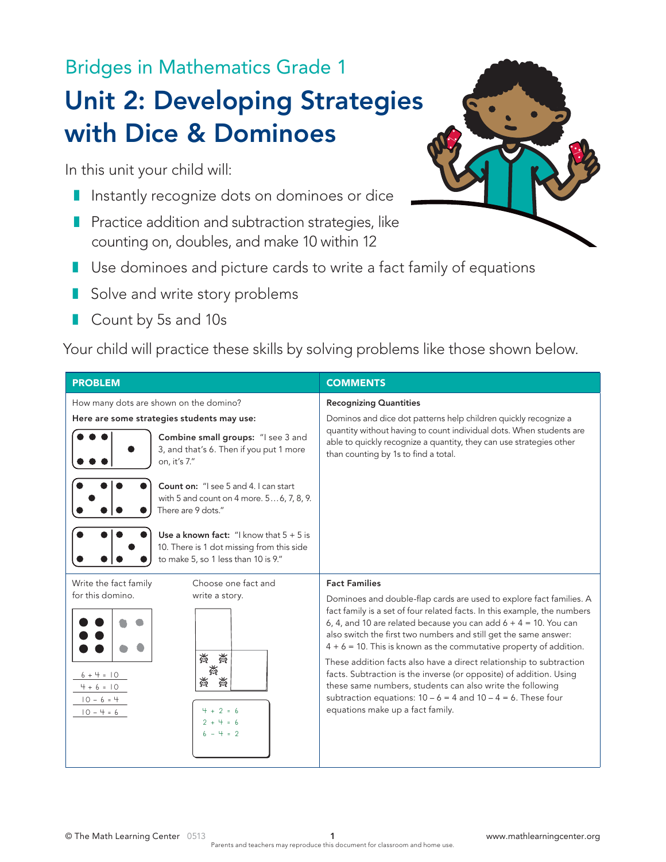Bridges in Mathematics Grade 1

# Unit 2: Developing Strategies with Dice & Dominoes

In this unit your child will:

- Instantly recognize dots on dominoes or dice
- Practice addition and subtraction strategies, like counting on, doubles, and make 10 within 12
- Use dominoes and picture cards to write a fact family of equations
- Solve and write story problems
- Count by 5s and 10s

Your child will practice these skills by solving problems like those shown below.

| <b>PROBLEM</b>                                                                                                                                                        | <b>COMMENTS</b>                                                                                                                                                                                                                                                                                                                                                                                                                                                                                                                                                                                                                                                                        |
|-----------------------------------------------------------------------------------------------------------------------------------------------------------------------|----------------------------------------------------------------------------------------------------------------------------------------------------------------------------------------------------------------------------------------------------------------------------------------------------------------------------------------------------------------------------------------------------------------------------------------------------------------------------------------------------------------------------------------------------------------------------------------------------------------------------------------------------------------------------------------|
| How many dots are shown on the domino?                                                                                                                                | <b>Recognizing Quantities</b>                                                                                                                                                                                                                                                                                                                                                                                                                                                                                                                                                                                                                                                          |
| Here are some strategies students may use:                                                                                                                            | Dominos and dice dot patterns help children quickly recognize a                                                                                                                                                                                                                                                                                                                                                                                                                                                                                                                                                                                                                        |
| Combine small groups: "I see 3 and<br>3, and that's 6. Then if you put 1 more<br>on, it's 7."                                                                         | quantity without having to count individual dots. When students are<br>able to quickly recognize a quantity, they can use strategies other<br>than counting by 1s to find a total.                                                                                                                                                                                                                                                                                                                                                                                                                                                                                                     |
| Count on: "I see 5 and 4. I can start<br>with 5 and count on 4 more. 56, 7, 8, 9.<br>There are 9 dots."                                                               |                                                                                                                                                                                                                                                                                                                                                                                                                                                                                                                                                                                                                                                                                        |
| Use a known fact: "I know that $5 + 5$ is<br>10. There is 1 dot missing from this side<br>to make 5, so 1 less than 10 is 9."                                         |                                                                                                                                                                                                                                                                                                                                                                                                                                                                                                                                                                                                                                                                                        |
| Write the fact family<br>Choose one fact and                                                                                                                          | <b>Fact Families</b>                                                                                                                                                                                                                                                                                                                                                                                                                                                                                                                                                                                                                                                                   |
| for this domino.<br>write a story.<br>美<br>薇<br>潢<br>$6 + 4 = 10$<br>薟<br>黃<br>$4 + 6 = 10$<br>$10 - 6 = 4$<br>$4 + 2 = 6$<br>$10 - 4 = 6$<br>$2 + 4 = 6$<br>$-4 = 2$ | Dominoes and double-flap cards are used to explore fact families. A<br>fact family is a set of four related facts. In this example, the numbers<br>6, 4, and 10 are related because you can add $6 + 4 = 10$ . You can<br>also switch the first two numbers and still get the same answer:<br>$4 + 6 = 10$ . This is known as the commutative property of addition.<br>These addition facts also have a direct relationship to subtraction<br>facts. Subtraction is the inverse (or opposite) of addition. Using<br>these same numbers, students can also write the following<br>subtraction equations: $10 - 6 = 4$ and $10 - 4 = 6$ . These four<br>equations make up a fact family. |